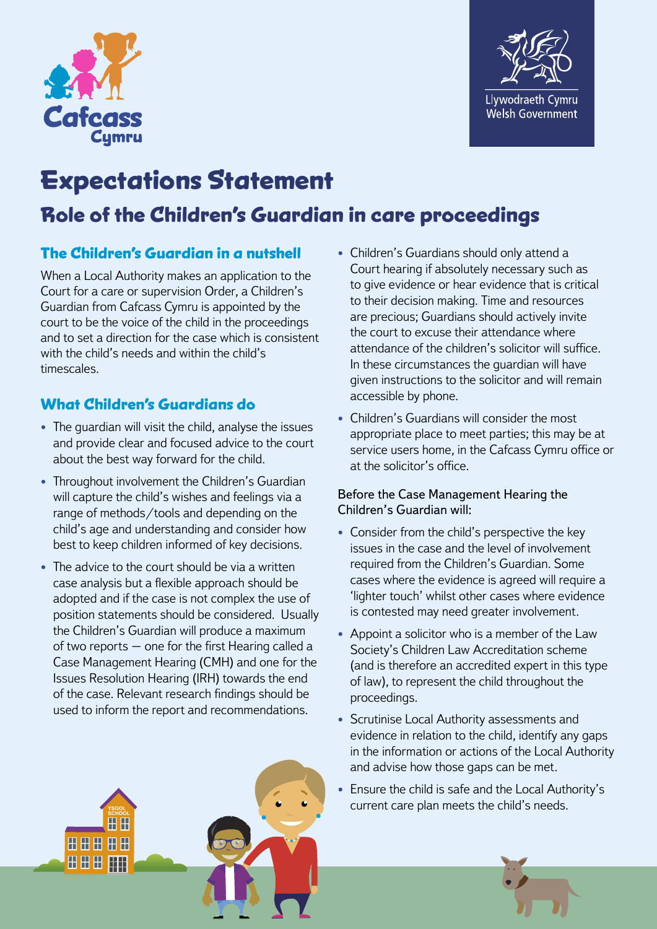



# **Expectations Statement**

## **Role of the Children's Guardian in care proceedings**

### **The Children's Guardian in a nutshell**

When a Local Authority makes an application to the Court for a care or supervision Order, a Children's Guardian from Cafcass Cymru is appointed by the court to be the voice of the child in the proceedings and to set a direction for the case which is consistent with the child's needs and within the child's timescales.

## **What Children's Guardians do**

- The guardian will visit the child, analyse the issues and provide clear and focused advice to the court about the best way forward for the child.
- Throughout involvement the Children's Guardian will capture the child's wishes and feelings via a range of methods/tools and depending on the child's age and understanding and consider how best to keep children informed of key decisions.
- The advice to the court should be via a written case analysis but a flexible approach should be adopted and if the case is not complex the use of position statements should be considered. Usually the Children's Guardian will produce a maximum of two reports – one for the first Hearing called a Case Management Hearing (CMH) and one for the Issues Resolution Hearing (IRH) towards the end of the case. Relevant research findings should be used to inform the report and recommendations.



- Children's Guardians should only attend a Court hearing if absolutely necessary such as to give evidence or hear evidence that is critical to their decision making. Time and resources are precious; Guardians should actively invite the court to excuse their attendance where attendance of the children's solicitor will suffice. In these circumstances the guardian will have given instructions to the solicitor and will remain accessible by phone.
- Children's Guardians will consider the most appropriate place to meet parties; this may be at service users home, in the Cafcass Cymru office or at the solicitor's office.

#### Before the Case Management Hearing the Children's Guardian will:

- Consider from the child's perspective the key issues in the case and the level of involvement required from the Children's Guardian. Some cases where the evidence is agreed will require a 'lighter touch' whilst other cases where evidence is contested may need greater involvement.
- Appoint a solicitor who is a member of the Law Society's Children Law Accreditation scheme (and is therefore an accredited expert in this type of law), to represent the child throughout the proceedings.
- Scrutinise Local Authority assessments and evidence in relation to the child, identify any gaps in the information or actions of the Local Authority and advise how those gaps can be met.
- Ensure the child is safe and the Local Authority's